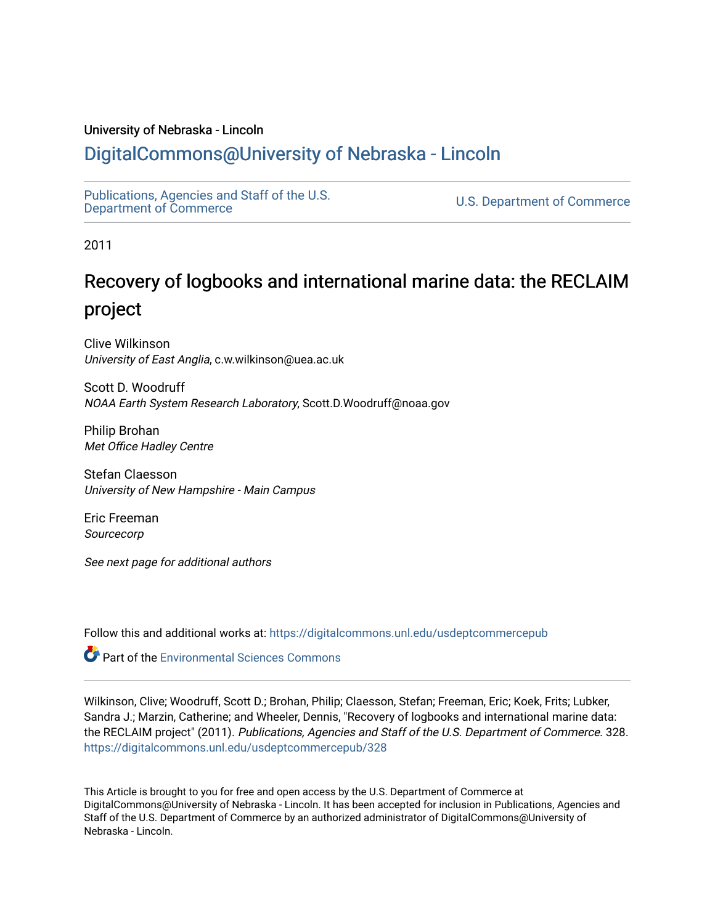## University of Nebraska - Lincoln

## [DigitalCommons@University of Nebraska - Lincoln](https://digitalcommons.unl.edu/)

[Publications, Agencies and Staff of the U.S.](https://digitalcommons.unl.edu/usdeptcommercepub)

U.S. [Department of Commerce](https://digitalcommons.unl.edu/usdeptcommercepub)

2011

# Recovery of logbooks and international marine data: the RECLAIM project

Clive Wilkinson University of East Anglia, c.w.wilkinson@uea.ac.uk

Scott D. Woodruff NOAA Earth System Research Laboratory, Scott.D.Woodruff@noaa.gov

Philip Brohan Met Office Hadley Centre

Stefan Claesson University of New Hampshire - Main Campus

Eric Freeman Sourcecorp

See next page for additional authors

Follow this and additional works at: [https://digitalcommons.unl.edu/usdeptcommercepub](https://digitalcommons.unl.edu/usdeptcommercepub?utm_source=digitalcommons.unl.edu%2Fusdeptcommercepub%2F328&utm_medium=PDF&utm_campaign=PDFCoverPages)

Part of the [Environmental Sciences Commons](http://network.bepress.com/hgg/discipline/167?utm_source=digitalcommons.unl.edu%2Fusdeptcommercepub%2F328&utm_medium=PDF&utm_campaign=PDFCoverPages)

Wilkinson, Clive; Woodruff, Scott D.; Brohan, Philip; Claesson, Stefan; Freeman, Eric; Koek, Frits; Lubker, Sandra J.; Marzin, Catherine; and Wheeler, Dennis, "Recovery of logbooks and international marine data: the RECLAIM project" (2011). Publications, Agencies and Staff of the U.S. Department of Commerce. 328. [https://digitalcommons.unl.edu/usdeptcommercepub/328](https://digitalcommons.unl.edu/usdeptcommercepub/328?utm_source=digitalcommons.unl.edu%2Fusdeptcommercepub%2F328&utm_medium=PDF&utm_campaign=PDFCoverPages) 

This Article is brought to you for free and open access by the U.S. Department of Commerce at DigitalCommons@University of Nebraska - Lincoln. It has been accepted for inclusion in Publications, Agencies and Staff of the U.S. Department of Commerce by an authorized administrator of DigitalCommons@University of Nebraska - Lincoln.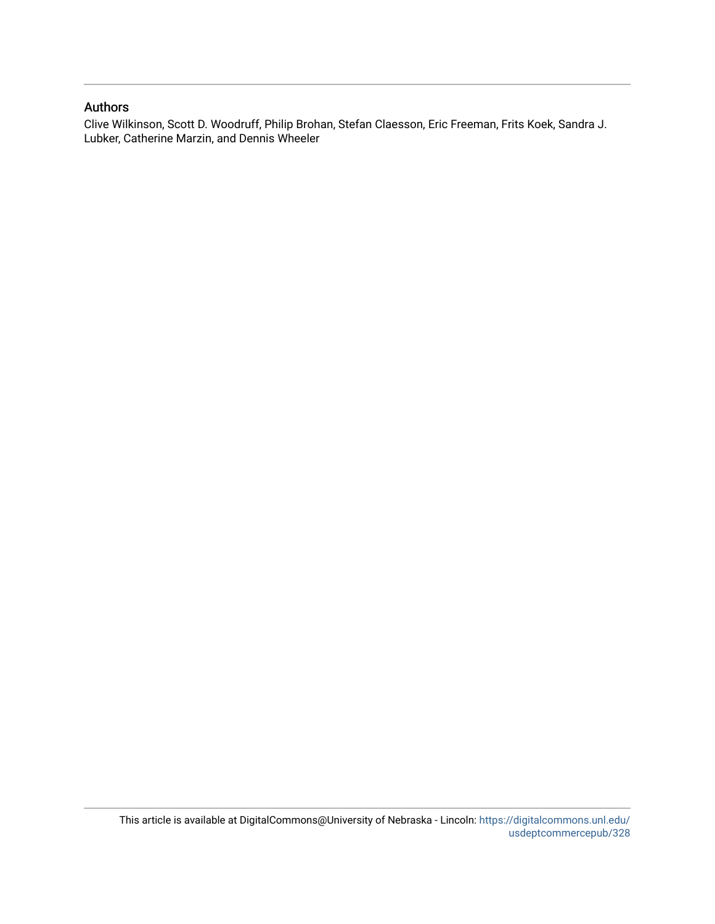## Authors

Clive Wilkinson, Scott D. Woodruff, Philip Brohan, Stefan Claesson, Eric Freeman, Frits Koek, Sandra J. Lubker, Catherine Marzin, and Dennis Wheeler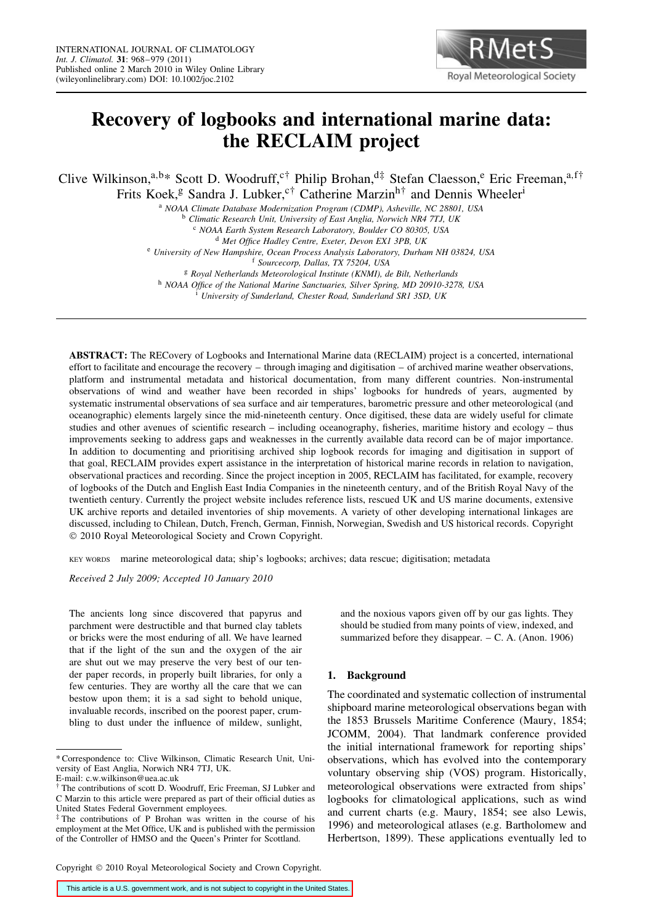

## **Recovery of logbooks and international marine data: the RECLAIM project**

Clive Wilkinson,<sup>a,b\*</sup> Scott D. Woodruff,<sup>c†</sup> Philip Brohan,<sup>d‡</sup> Stefan Claesson,<sup>e</sup> Eric Freeman,<sup>a,f†</sup> Frits Koek,<sup>g</sup> Sandra J. Lubker,<sup>c†</sup> Catherine Marzin<sup>h†</sup> and Dennis Wheeler<sup>i</sup>

<sup>a</sup> *NOAA Climate Database Modernization Program (CDMP), Asheville, NC 28801, USA*

<sup>b</sup> *Climatic Research Unit, University of East Anglia, Norwich NR4 7TJ, UK*

<sup>c</sup> *NOAA Earth System Research Laboratory, Boulder CO 80305, USA*

<sup>d</sup> *Met Office Hadley Centre, Exeter, Devon EX1 3PB, UK*

<sup>e</sup> *University of New Hampshire, Ocean Process Analysis Laboratory, Durham NH 03824, USA*

<sup>f</sup> *Sourcecorp, Dallas, TX 75204, USA*

<sup>g</sup> *Royal Netherlands Meteorological Institute (KNMI), de Bilt, Netherlands*

<sup>h</sup> *NOAA Office of the National Marine Sanctuaries, Silver Spring, MD 20910-3278, USA*

<sup>i</sup> *University of Sunderland, Chester Road, Sunderland SR1 3SD, UK*

**ABSTRACT:** The RECovery of Logbooks and International Marine data (RECLAIM) project is a concerted, international effort to facilitate and encourage the recovery – through imaging and digitisation – of archived marine weather observations, platform and instrumental metadata and historical documentation, from many different countries. Non-instrumental observations of wind and weather have been recorded in ships' logbooks for hundreds of years, augmented by systematic instrumental observations of sea surface and air temperatures, barometric pressure and other meteorological (and oceanographic) elements largely since the mid-nineteenth century. Once digitised, these data are widely useful for climate studies and other avenues of scientific research – including oceanography, fisheries, maritime history and ecology – thus improvements seeking to address gaps and weaknesses in the currently available data record can be of major importance. In addition to documenting and prioritising archived ship logbook records for imaging and digitisation in support of that goal, RECLAIM provides expert assistance in the interpretation of historical marine records in relation to navigation, observational practices and recording. Since the project inception in 2005, RECLAIM has facilitated, for example, recovery of logbooks of the Dutch and English East India Companies in the nineteenth century, and of the British Royal Navy of the twentieth century. Currently the project website includes reference lists, rescued UK and US marine documents, extensive UK archive reports and detailed inventories of ship movements. A variety of other developing international linkages are discussed, including to Chilean, Dutch, French, German, Finnish, Norwegian, Swedish and US historical records. Copyright 2010 Royal Meteorological Society and Crown Copyright.

KEY WORDS marine meteorological data; ship's logbooks; archives; data rescue; digitisation; metadata

*Received 2 July 2009; Accepted 10 January 2010*

The ancients long since discovered that papyrus and parchment were destructible and that burned clay tablets or bricks were the most enduring of all. We have learned that if the light of the sun and the oxygen of the air are shut out we may preserve the very best of our tender paper records, in properly built libraries, for only a few centuries. They are worthy all the care that we can bestow upon them; it is a sad sight to behold unique, invaluable records, inscribed on the poorest paper, crumbling to dust under the influence of mildew, sunlight,

Copyright 2010 Royal Meteorological Society and Crown Copyright.

and the noxious vapors given off by our gas lights. They should be studied from many points of view, indexed, and summarized before they disappear. – C. A. (Anon. 1906)

#### **1. Background**

The coordinated and systematic collection of instrumental shipboard marine meteorological observations began with the 1853 Brussels Maritime Conference (Maury, 1854; JCOMM, 2004). That landmark conference provided the initial international framework for reporting ships' observations, which has evolved into the contemporary voluntary observing ship (VOS) program. Historically, meteorological observations were extracted from ships' logbooks for climatological applications, such as wind and current charts (e.g. Maury, 1854; see also Lewis, 1996) and meteorological atlases (e.g. Bartholomew and Herbertson, 1899). These applications eventually led to

<sup>\*</sup> Correspondence to: Clive Wilkinson, Climatic Research Unit, University of East Anglia, Norwich NR4 7TJ, UK.

E-mail: c.w.wilkinson@uea.ac.uk

<sup>†</sup> The contributions of scott D. Woodruff, Eric Freeman, SJ Lubker and C Marzin to this article were prepared as part of their official duties as United States Federal Government employees.

<sup>‡</sup> The contributions of P Brohan was written in the course of his employment at the Met Office, UK and is published with the permission of the Controller of HMSO and the Queen's Printer for Scottland.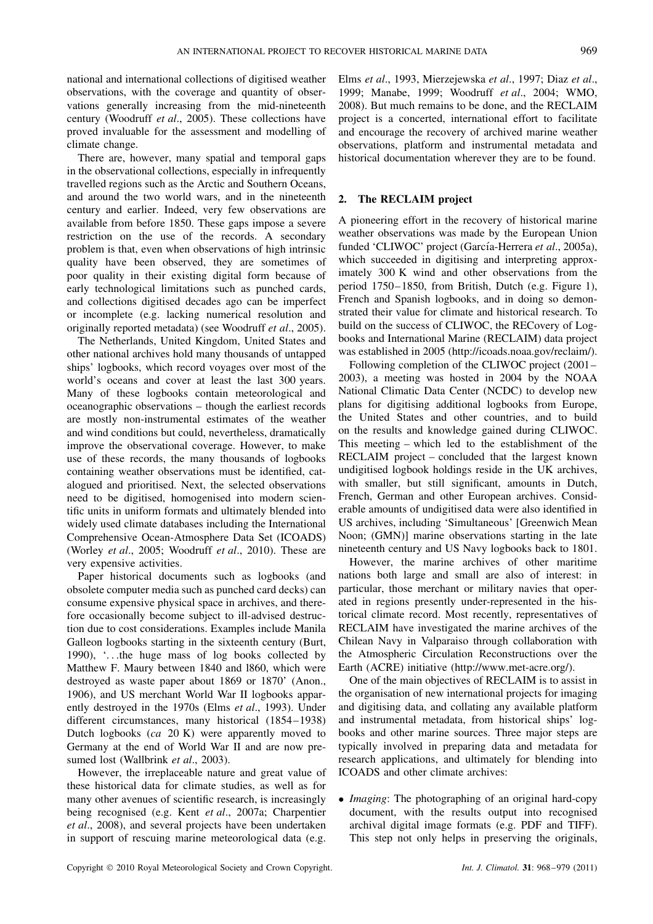national and international collections of digitised weather observations, with the coverage and quantity of observations generally increasing from the mid-nineteenth century (Woodruff *et al*., 2005). These collections have proved invaluable for the assessment and modelling of climate change.

There are, however, many spatial and temporal gaps in the observational collections, especially in infrequently travelled regions such as the Arctic and Southern Oceans, and around the two world wars, and in the nineteenth century and earlier. Indeed, very few observations are available from before 1850. These gaps impose a severe restriction on the use of the records. A secondary problem is that, even when observations of high intrinsic quality have been observed, they are sometimes of poor quality in their existing digital form because of early technological limitations such as punched cards, and collections digitised decades ago can be imperfect or incomplete (e.g. lacking numerical resolution and originally reported metadata) (see Woodruff *et al*., 2005).

The Netherlands, United Kingdom, United States and other national archives hold many thousands of untapped ships' logbooks, which record voyages over most of the world's oceans and cover at least the last 300 years. Many of these logbooks contain meteorological and oceanographic observations – though the earliest records are mostly non-instrumental estimates of the weather and wind conditions but could, nevertheless, dramatically improve the observational coverage. However, to make use of these records, the many thousands of logbooks containing weather observations must be identified, catalogued and prioritised. Next, the selected observations need to be digitised, homogenised into modern scientific units in uniform formats and ultimately blended into widely used climate databases including the International Comprehensive Ocean-Atmosphere Data Set (ICOADS) (Worley *et al*., 2005; Woodruff *et al*., 2010). These are very expensive activities.

Paper historical documents such as logbooks (and obsolete computer media such as punched card decks) can consume expensive physical space in archives, and therefore occasionally become subject to ill-advised destruction due to cost considerations. Examples include Manila Galleon logbooks starting in the sixteenth century (Burt, 1990), '*...*the huge mass of log books collected by Matthew F. Maury between 1840 and l860, which were destroyed as waste paper about 1869 or 1870' (Anon., 1906), and US merchant World War II logbooks apparently destroyed in the 1970s (Elms *et al*., 1993). Under different circumstances, many historical (1854–1938) Dutch logbooks (*ca* 20 K) were apparently moved to Germany at the end of World War II and are now presumed lost (Wallbrink *et al*., 2003).

However, the irreplaceable nature and great value of these historical data for climate studies, as well as for many other avenues of scientific research, is increasingly being recognised (e.g. Kent *et al*., 2007a; Charpentier *et al*., 2008), and several projects have been undertaken in support of rescuing marine meteorological data (e.g.

Elms *et al*., 1993, Mierzejewska *et al*., 1997; Diaz *et al*., 1999; Manabe, 1999; Woodruff *et al*., 2004; WMO, 2008). But much remains to be done, and the RECLAIM project is a concerted, international effort to facilitate and encourage the recovery of archived marine weather observations, platform and instrumental metadata and historical documentation wherever they are to be found.

#### **2. The RECLAIM project**

A pioneering effort in the recovery of historical marine weather observations was made by the European Union funded 'CLIWOC' project (García-Herrera et al., 2005a), which succeeded in digitising and interpreting approximately 300 K wind and other observations from the period 1750–1850, from British, Dutch (e.g. Figure 1), French and Spanish logbooks, and in doing so demonstrated their value for climate and historical research. To build on the success of CLIWOC, the RECovery of Logbooks and International Marine (RECLAIM) data project was established in 2005 (http://icoads.noaa.gov/reclaim/).

Following completion of the CLIWOC project (2001– 2003), a meeting was hosted in 2004 by the NOAA National Climatic Data Center (NCDC) to develop new plans for digitising additional logbooks from Europe, the United States and other countries, and to build on the results and knowledge gained during CLIWOC. This meeting – which led to the establishment of the RECLAIM project – concluded that the largest known undigitised logbook holdings reside in the UK archives, with smaller, but still significant, amounts in Dutch, French, German and other European archives. Considerable amounts of undigitised data were also identified in US archives, including 'Simultaneous' [Greenwich Mean Noon; (GMN)] marine observations starting in the late nineteenth century and US Navy logbooks back to 1801.

However, the marine archives of other maritime nations both large and small are also of interest: in particular, those merchant or military navies that operated in regions presently under-represented in the historical climate record. Most recently, representatives of RECLAIM have investigated the marine archives of the Chilean Navy in Valparaiso through collaboration with the Atmospheric Circulation Reconstructions over the Earth (ACRE) initiative (http://www.met-acre.org/).

One of the main objectives of RECLAIM is to assist in the organisation of new international projects for imaging and digitising data, and collating any available platform and instrumental metadata, from historical ships' logbooks and other marine sources. Three major steps are typically involved in preparing data and metadata for research applications, and ultimately for blending into ICOADS and other climate archives:

• *Imaging*: The photographing of an original hard-copy document, with the results output into recognised archival digital image formats (e.g. PDF and TIFF). This step not only helps in preserving the originals,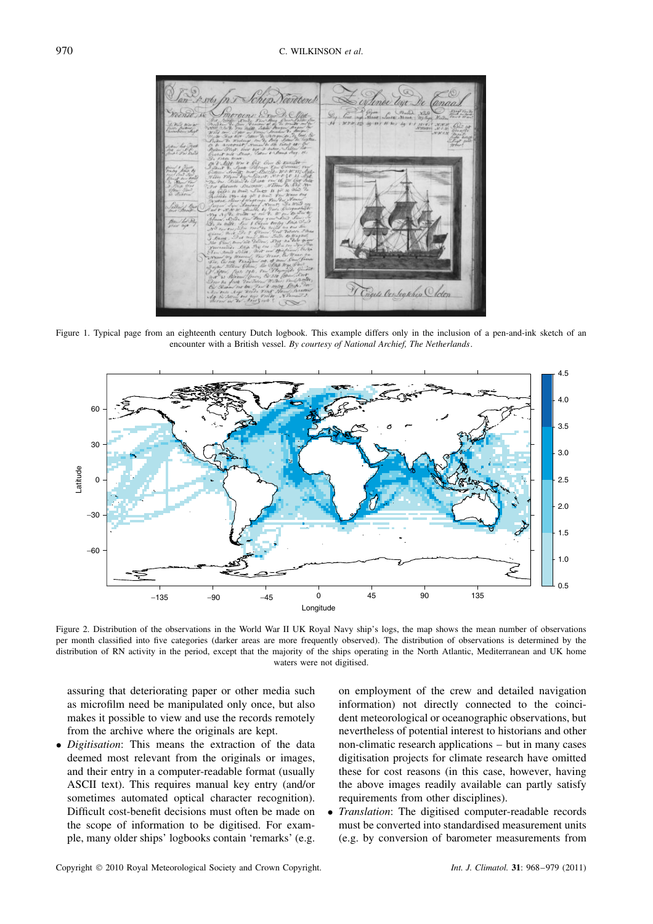

Figure 1. Typical page from an eighteenth century Dutch logbook. This example differs only in the inclusion of a pen-and-ink sketch of an encounter with a British vessel. *By courtesy of National Archief, The Netherlands*.



Figure 2. Distribution of the observations in the World War II UK Royal Navy ship's logs, the map shows the mean number of observations per month classified into five categories (darker areas are more frequently observed). The distribution of observations is determined by the distribution of RN activity in the period, except that the majority of the ships operating in the North Atlantic, Mediterranean and UK home waters were not digitised.

assuring that deteriorating paper or other media such as microfilm need be manipulated only once, but also makes it possible to view and use the records remotely from the archive where the originals are kept.

• *Digitisation*: This means the extraction of the data deemed most relevant from the originals or images, and their entry in a computer-readable format (usually ASCII text). This requires manual key entry (and/or sometimes automated optical character recognition). Difficult cost-benefit decisions must often be made on the scope of information to be digitised. For example, many older ships' logbooks contain 'remarks' (e.g. on employment of the crew and detailed navigation information) not directly connected to the coincident meteorological or oceanographic observations, but nevertheless of potential interest to historians and other non-climatic research applications – but in many cases digitisation projects for climate research have omitted these for cost reasons (in this case, however, having the above images readily available can partly satisfy requirements from other disciplines).

• *Translation*: The digitised computer-readable records must be converted into standardised measurement units (e.g. by conversion of barometer measurements from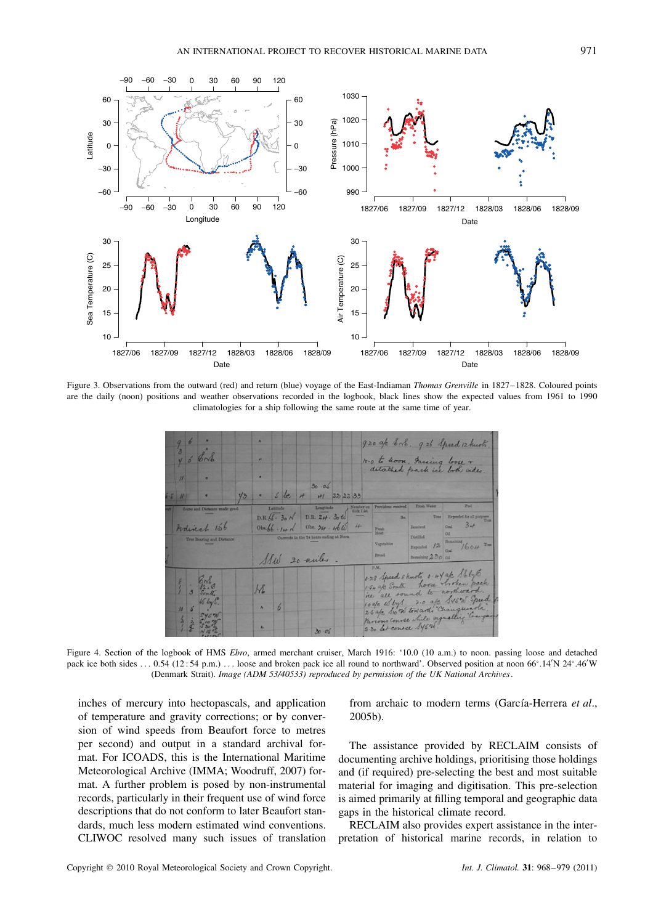

Figure 3. Observations from the outward (red) and return (blue) voyage of the East-Indiaman *Thomas Grenville* in 1827–1828. Coloured points are the daily (noon) positions and weather observations recorded in the logbook, black lines show the expected values from 1961 to 1990 climatologies for a ship following the same route at the same time of year.

| $5.5$ 11 4                                             |  | $\frac{9}{3}$ $\frac{6}{3}$ $\frac{1}{3}$<br>$y'$ 6 $6\sqrt{6}$<br>$\frac{1}{2}$ | $y_3$ | ×<br>$\alpha$                                                                                         |                                       | $s$ sle |  | $30 - 05$<br>$H$ $H$ $22$ $22$ $33$             |  |  |                                                                                                                                                                                                                              |                                                | 9.20 a/c EnE. 9.26 Speed 12 kush.<br>10.0 to hoon, Fassing loose +                                                         |
|--------------------------------------------------------|--|----------------------------------------------------------------------------------|-------|-------------------------------------------------------------------------------------------------------|---------------------------------------|---------|--|-------------------------------------------------|--|--|------------------------------------------------------------------------------------------------------------------------------------------------------------------------------------------------------------------------------|------------------------------------------------|----------------------------------------------------------------------------------------------------------------------------|
|                                                        |  | Gure and Distance made good<br>Adirect 156<br>True Boaring and Distance          |       | Latitude<br>D.R.66.36N<br>Obs. 66 - 1+ N<br>Currents in the 24 hours ending at Noon<br>Stel 20 miles. |                                       |         |  | Leaginds Number on<br>DRZH.36L<br>Oba 24.46 W 4 |  |  | Portisiens rooteed<br>Presh<br>Mest<br><b>Vegetables</b><br>Bread                                                                                                                                                            | Froh Water<br>Distilled Ol<br>Bensining 230 01 | <b>Tud</b><br>Da. Tens Expended for all purposes<br>Bessied Onl $3 +$<br>Expended $12 \frac{\text{Riemannian}}{0.04}$ /604 |
| bre.<br>$\mathfrak{z}$<br>South<br>Whys.<br>$10^{6}$ 5 |  |                                                                                  |       |                                                                                                       | $M_{b}$<br>$\overline{6}$<br>$\theta$ |         |  | 30.05                                           |  |  | Р.М.<br>0.28 Speed 8 kuolo 0.44 afc Soly6<br>1.54 a/c South horse throken pack<br>ne all sound to northward.<br>roafe whys. 2.0 a/c Ivson Speed<br>25 a/c S10 m towards Changemola.<br>Parious Course while organiting tough |                                                |                                                                                                                            |

Figure 4. Section of the logbook of HMS *Ebro*, armed merchant cruiser, March 1916: '10.0 (10 a.m.) to noon. passing loose and detached pack ice both sides ... 0.54 (12:54 p.m.) ... loose and broken pack ice all round to northward'. Observed position at noon 66°.14'N 24°.46'W (Denmark Strait). *Image (ADM 53/40533) reproduced by permission of the UK National Archives*.

inches of mercury into hectopascals, and application of temperature and gravity corrections; or by conversion of wind speeds from Beaufort force to metres per second) and output in a standard archival format. For ICOADS, this is the International Maritime Meteorological Archive (IMMA; Woodruff, 2007) format. A further problem is posed by non-instrumental records, particularly in their frequent use of wind force descriptions that do not conform to later Beaufort standards, much less modern estimated wind conventions. CLIWOC resolved many such issues of translation from archaic to modern terms (García-Herrera *et al.*, 2005b).

The assistance provided by RECLAIM consists of documenting archive holdings, prioritising those holdings and (if required) pre-selecting the best and most suitable material for imaging and digitisation. This pre-selection is aimed primarily at filling temporal and geographic data gaps in the historical climate record.

RECLAIM also provides expert assistance in the interpretation of historical marine records, in relation to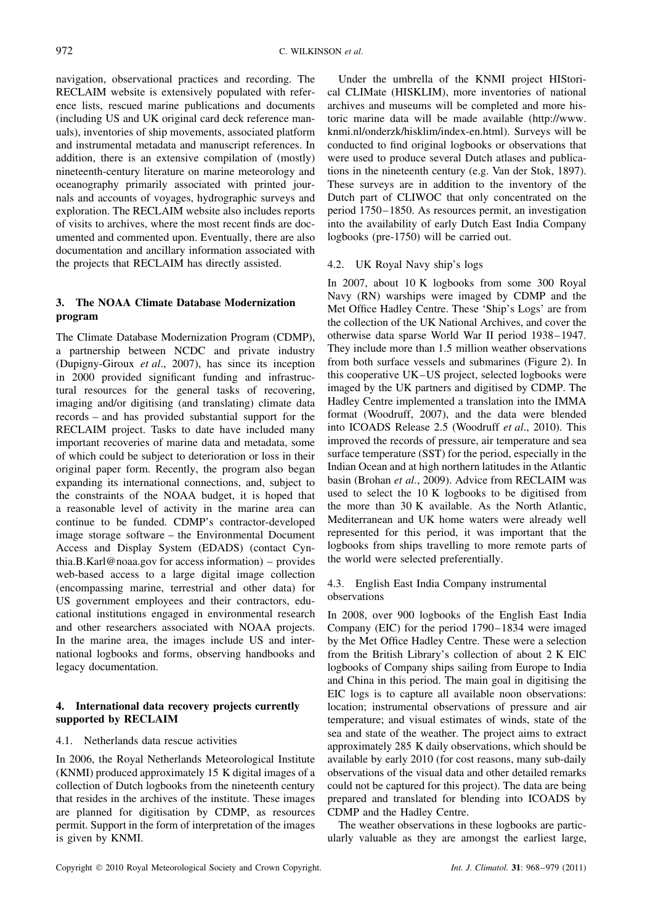navigation, observational practices and recording. The RECLAIM website is extensively populated with reference lists, rescued marine publications and documents (including US and UK original card deck reference manuals), inventories of ship movements, associated platform and instrumental metadata and manuscript references. In addition, there is an extensive compilation of (mostly) nineteenth-century literature on marine meteorology and oceanography primarily associated with printed journals and accounts of voyages, hydrographic surveys and exploration. The RECLAIM website also includes reports of visits to archives, where the most recent finds are documented and commented upon. Eventually, there are also documentation and ancillary information associated with the projects that RECLAIM has directly assisted.

## **3. The NOAA Climate Database Modernization program**

The Climate Database Modernization Program (CDMP), a partnership between NCDC and private industry (Dupigny-Giroux *et al*., 2007), has since its inception in 2000 provided significant funding and infrastructural resources for the general tasks of recovering, imaging and/or digitising (and translating) climate data records – and has provided substantial support for the RECLAIM project. Tasks to date have included many important recoveries of marine data and metadata, some of which could be subject to deterioration or loss in their original paper form. Recently, the program also began expanding its international connections, and, subject to the constraints of the NOAA budget, it is hoped that a reasonable level of activity in the marine area can continue to be funded. CDMP's contractor-developed image storage software – the Environmental Document Access and Display System (EDADS) (contact Cynthia.B.Karl@noaa.gov for access information) – provides web-based access to a large digital image collection (encompassing marine, terrestrial and other data) for US government employees and their contractors, educational institutions engaged in environmental research and other researchers associated with NOAA projects. In the marine area, the images include US and international logbooks and forms, observing handbooks and legacy documentation.

## **4. International data recovery projects currently supported by RECLAIM**

#### 4.1. Netherlands data rescue activities

In 2006, the Royal Netherlands Meteorological Institute (KNMI) produced approximately 15 K digital images of a collection of Dutch logbooks from the nineteenth century that resides in the archives of the institute. These images are planned for digitisation by CDMP, as resources permit. Support in the form of interpretation of the images is given by KNMI.

Under the umbrella of the KNMI project HIStorical CLIMate (HISKLIM), more inventories of national archives and museums will be completed and more historic marine data will be made available (http://www. knmi.nl/onderzk/hisklim/index-en.html). Surveys will be conducted to find original logbooks or observations that were used to produce several Dutch atlases and publications in the nineteenth century (e.g. Van der Stok, 1897). These surveys are in addition to the inventory of the Dutch part of CLIWOC that only concentrated on the period 1750–1850. As resources permit, an investigation into the availability of early Dutch East India Company logbooks (pre-1750) will be carried out.

#### 4.2. UK Royal Navy ship's logs

In 2007, about 10 K logbooks from some 300 Royal Navy (RN) warships were imaged by CDMP and the Met Office Hadley Centre. These 'Ship's Logs' are from the collection of the UK National Archives, and cover the otherwise data sparse World War II period 1938–1947. They include more than 1.5 million weather observations from both surface vessels and submarines (Figure 2). In this cooperative UK–US project, selected logbooks were imaged by the UK partners and digitised by CDMP. The Hadley Centre implemented a translation into the IMMA format (Woodruff, 2007), and the data were blended into ICOADS Release 2.5 (Woodruff *et al*., 2010). This improved the records of pressure, air temperature and sea surface temperature (SST) for the period, especially in the Indian Ocean and at high northern latitudes in the Atlantic basin (Brohan *et al*., 2009). Advice from RECLAIM was used to select the 10 K logbooks to be digitised from the more than 30 K available. As the North Atlantic, Mediterranean and UK home waters were already well represented for this period, it was important that the logbooks from ships travelling to more remote parts of the world were selected preferentially.

4.3. English East India Company instrumental observations

In 2008, over 900 logbooks of the English East India Company (EIC) for the period 1790–1834 were imaged by the Met Office Hadley Centre. These were a selection from the British Library's collection of about 2 K EIC logbooks of Company ships sailing from Europe to India and China in this period. The main goal in digitising the EIC logs is to capture all available noon observations: location; instrumental observations of pressure and air temperature; and visual estimates of winds, state of the sea and state of the weather. The project aims to extract approximately 285 K daily observations, which should be available by early 2010 (for cost reasons, many sub-daily observations of the visual data and other detailed remarks could not be captured for this project). The data are being prepared and translated for blending into ICOADS by CDMP and the Hadley Centre.

The weather observations in these logbooks are particularly valuable as they are amongst the earliest large,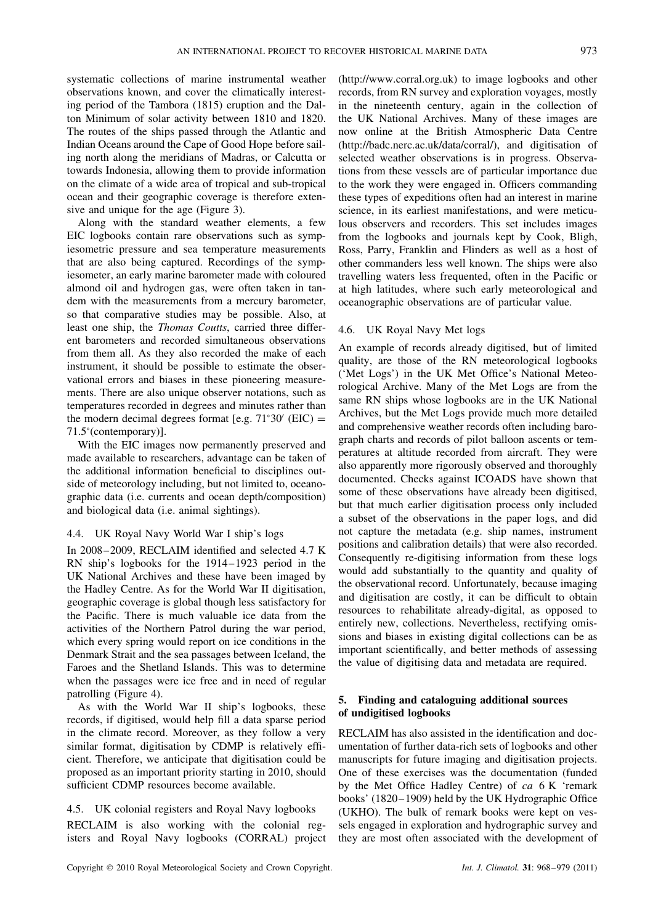systematic collections of marine instrumental weather observations known, and cover the climatically interesting period of the Tambora (1815) eruption and the Dalton Minimum of solar activity between 1810 and 1820. The routes of the ships passed through the Atlantic and Indian Oceans around the Cape of Good Hope before sailing north along the meridians of Madras, or Calcutta or towards Indonesia, allowing them to provide information on the climate of a wide area of tropical and sub-tropical ocean and their geographic coverage is therefore extensive and unique for the age (Figure 3).

Along with the standard weather elements, a few EIC logbooks contain rare observations such as sympiesometric pressure and sea temperature measurements that are also being captured. Recordings of the sympiesometer, an early marine barometer made with coloured almond oil and hydrogen gas, were often taken in tandem with the measurements from a mercury barometer, so that comparative studies may be possible. Also, at least one ship, the *Thomas Coutts*, carried three different barometers and recorded simultaneous observations from them all. As they also recorded the make of each instrument, it should be possible to estimate the observational errors and biases in these pioneering measurements. There are also unique observer notations, such as temperatures recorded in degrees and minutes rather than the modern decimal degrees format [e.g.  $71^{\circ}30'$  (EIC) = 71.5°(contemporary)].

With the EIC images now permanently preserved and made available to researchers, advantage can be taken of the additional information beneficial to disciplines outside of meteorology including, but not limited to, oceanographic data (i.e. currents and ocean depth/composition) and biological data (i.e. animal sightings).

## 4.4. UK Royal Navy World War I ship's logs

In 2008–2009, RECLAIM identified and selected 4.7 K RN ship's logbooks for the 1914–1923 period in the UK National Archives and these have been imaged by the Hadley Centre. As for the World War II digitisation, geographic coverage is global though less satisfactory for the Pacific. There is much valuable ice data from the activities of the Northern Patrol during the war period, which every spring would report on ice conditions in the Denmark Strait and the sea passages between Iceland, the Faroes and the Shetland Islands. This was to determine when the passages were ice free and in need of regular patrolling (Figure 4).

As with the World War II ship's logbooks, these records, if digitised, would help fill a data sparse period in the climate record. Moreover, as they follow a very similar format, digitisation by CDMP is relatively efficient. Therefore, we anticipate that digitisation could be proposed as an important priority starting in 2010, should sufficient CDMP resources become available.

#### 4.5. UK colonial registers and Royal Navy logbooks

RECLAIM is also working with the colonial registers and Royal Navy logbooks (CORRAL) project

(http://www.corral.org.uk) to image logbooks and other records, from RN survey and exploration voyages, mostly in the nineteenth century, again in the collection of the UK National Archives. Many of these images are now online at the British Atmospheric Data Centre (http://badc.nerc.ac.uk/data/corral/), and digitisation of selected weather observations is in progress. Observations from these vessels are of particular importance due to the work they were engaged in. Officers commanding these types of expeditions often had an interest in marine science, in its earliest manifestations, and were meticulous observers and recorders. This set includes images from the logbooks and journals kept by Cook, Bligh, Ross, Parry, Franklin and Flinders as well as a host of other commanders less well known. The ships were also travelling waters less frequented, often in the Pacific or at high latitudes, where such early meteorological and oceanographic observations are of particular value.

### 4.6. UK Royal Navy Met logs

An example of records already digitised, but of limited quality, are those of the RN meteorological logbooks ('Met Logs') in the UK Met Office's National Meteorological Archive. Many of the Met Logs are from the same RN ships whose logbooks are in the UK National Archives, but the Met Logs provide much more detailed and comprehensive weather records often including barograph charts and records of pilot balloon ascents or temperatures at altitude recorded from aircraft. They were also apparently more rigorously observed and thoroughly documented. Checks against ICOADS have shown that some of these observations have already been digitised, but that much earlier digitisation process only included a subset of the observations in the paper logs, and did not capture the metadata (e.g. ship names, instrument positions and calibration details) that were also recorded. Consequently re-digitising information from these logs would add substantially to the quantity and quality of the observational record. Unfortunately, because imaging and digitisation are costly, it can be difficult to obtain resources to rehabilitate already-digital, as opposed to entirely new, collections. Nevertheless, rectifying omissions and biases in existing digital collections can be as important scientifically, and better methods of assessing the value of digitising data and metadata are required.

## **5. Finding and cataloguing additional sources of undigitised logbooks**

RECLAIM has also assisted in the identification and documentation of further data-rich sets of logbooks and other manuscripts for future imaging and digitisation projects. One of these exercises was the documentation (funded by the Met Office Hadley Centre) of *ca* 6 K 'remark books' (1820–1909) held by the UK Hydrographic Office (UKHO). The bulk of remark books were kept on vessels engaged in exploration and hydrographic survey and they are most often associated with the development of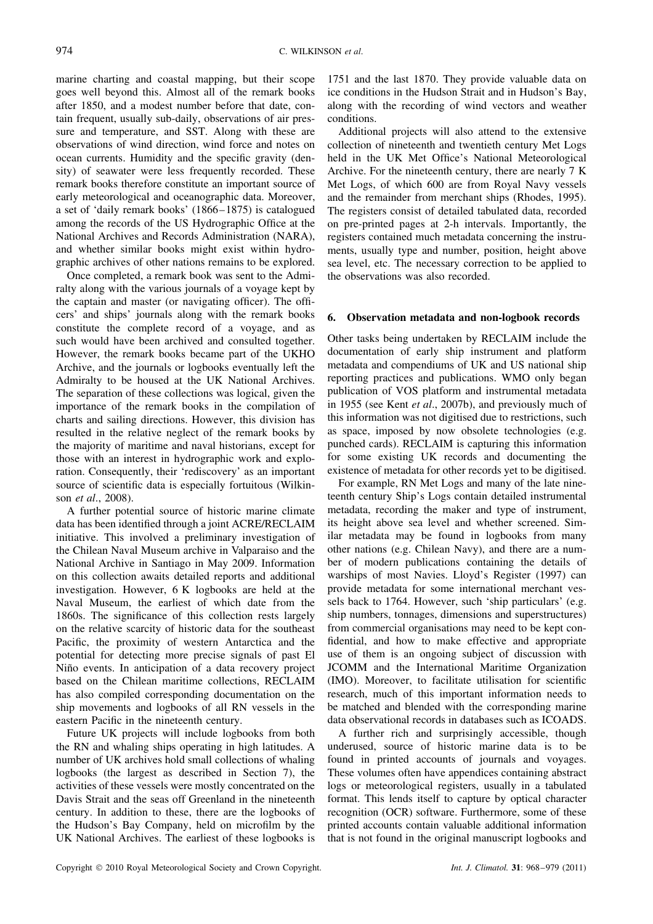marine charting and coastal mapping, but their scope goes well beyond this. Almost all of the remark books after 1850, and a modest number before that date, contain frequent, usually sub-daily, observations of air pressure and temperature, and SST. Along with these are observations of wind direction, wind force and notes on ocean currents. Humidity and the specific gravity (density) of seawater were less frequently recorded. These remark books therefore constitute an important source of early meteorological and oceanographic data. Moreover, a set of 'daily remark books' (1866–1875) is catalogued among the records of the US Hydrographic Office at the National Archives and Records Administration (NARA), and whether similar books might exist within hydrographic archives of other nations remains to be explored.

Once completed, a remark book was sent to the Admiralty along with the various journals of a voyage kept by the captain and master (or navigating officer). The officers' and ships' journals along with the remark books constitute the complete record of a voyage, and as such would have been archived and consulted together. However, the remark books became part of the UKHO Archive, and the journals or logbooks eventually left the Admiralty to be housed at the UK National Archives. The separation of these collections was logical, given the importance of the remark books in the compilation of charts and sailing directions. However, this division has resulted in the relative neglect of the remark books by the majority of maritime and naval historians, except for those with an interest in hydrographic work and exploration. Consequently, their 'rediscovery' as an important source of scientific data is especially fortuitous (Wilkinson *et al*., 2008).

A further potential source of historic marine climate data has been identified through a joint ACRE/RECLAIM initiative. This involved a preliminary investigation of the Chilean Naval Museum archive in Valparaiso and the National Archive in Santiago in May 2009. Information on this collection awaits detailed reports and additional investigation. However, 6 K logbooks are held at the Naval Museum, the earliest of which date from the 1860s. The significance of this collection rests largely on the relative scarcity of historic data for the southeast Pacific, the proximity of western Antarctica and the potential for detecting more precise signals of past El Niño events. In anticipation of a data recovery project based on the Chilean maritime collections, RECLAIM has also compiled corresponding documentation on the ship movements and logbooks of all RN vessels in the eastern Pacific in the nineteenth century.

Future UK projects will include logbooks from both the RN and whaling ships operating in high latitudes. A number of UK archives hold small collections of whaling logbooks (the largest as described in Section 7), the activities of these vessels were mostly concentrated on the Davis Strait and the seas off Greenland in the nineteenth century. In addition to these, there are the logbooks of the Hudson's Bay Company, held on microfilm by the UK National Archives. The earliest of these logbooks is

1751 and the last 1870. They provide valuable data on ice conditions in the Hudson Strait and in Hudson's Bay, along with the recording of wind vectors and weather conditions.

Additional projects will also attend to the extensive collection of nineteenth and twentieth century Met Logs held in the UK Met Office's National Meteorological Archive. For the nineteenth century, there are nearly 7 K Met Logs, of which 600 are from Royal Navy vessels and the remainder from merchant ships (Rhodes, 1995). The registers consist of detailed tabulated data, recorded on pre-printed pages at 2-h intervals. Importantly, the registers contained much metadata concerning the instruments, usually type and number, position, height above sea level, etc. The necessary correction to be applied to the observations was also recorded.

#### **6. Observation metadata and non-logbook records**

Other tasks being undertaken by RECLAIM include the documentation of early ship instrument and platform metadata and compendiums of UK and US national ship reporting practices and publications. WMO only began publication of VOS platform and instrumental metadata in 1955 (see Kent *et al*., 2007b), and previously much of this information was not digitised due to restrictions, such as space, imposed by now obsolete technologies (e.g. punched cards). RECLAIM is capturing this information for some existing UK records and documenting the existence of metadata for other records yet to be digitised.

For example, RN Met Logs and many of the late nineteenth century Ship's Logs contain detailed instrumental metadata, recording the maker and type of instrument, its height above sea level and whether screened. Similar metadata may be found in logbooks from many other nations (e.g. Chilean Navy), and there are a number of modern publications containing the details of warships of most Navies. Lloyd's Register (1997) can provide metadata for some international merchant vessels back to 1764. However, such 'ship particulars' (e.g. ship numbers, tonnages, dimensions and superstructures) from commercial organisations may need to be kept confidential, and how to make effective and appropriate use of them is an ongoing subject of discussion with JCOMM and the International Maritime Organization (IMO). Moreover, to facilitate utilisation for scientific research, much of this important information needs to be matched and blended with the corresponding marine data observational records in databases such as ICOADS.

A further rich and surprisingly accessible, though underused, source of historic marine data is to be found in printed accounts of journals and voyages. These volumes often have appendices containing abstract logs or meteorological registers, usually in a tabulated format. This lends itself to capture by optical character recognition (OCR) software. Furthermore, some of these printed accounts contain valuable additional information that is not found in the original manuscript logbooks and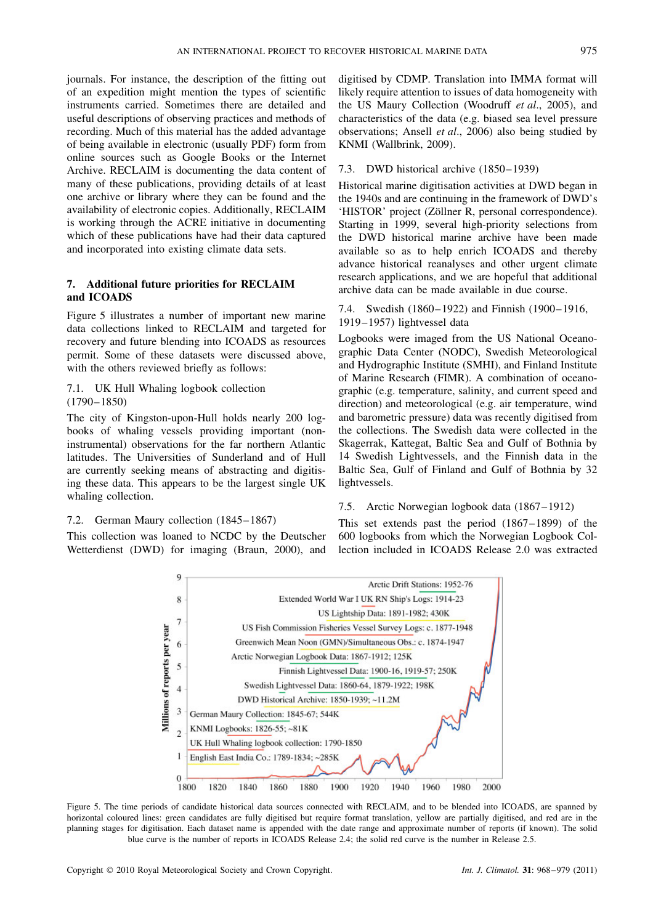journals. For instance, the description of the fitting out of an expedition might mention the types of scientific instruments carried. Sometimes there are detailed and useful descriptions of observing practices and methods of recording. Much of this material has the added advantage of being available in electronic (usually PDF) form from online sources such as Google Books or the Internet Archive. RECLAIM is documenting the data content of many of these publications, providing details of at least one archive or library where they can be found and the availability of electronic copies. Additionally, RECLAIM is working through the ACRE initiative in documenting which of these publications have had their data captured and incorporated into existing climate data sets.

## **7. Additional future priorities for RECLAIM and ICOADS**

Figure 5 illustrates a number of important new marine data collections linked to RECLAIM and targeted for recovery and future blending into ICOADS as resources permit. Some of these datasets were discussed above, with the others reviewed briefly as follows:

## 7.1. UK Hull Whaling logbook collection (1790–1850)

The city of Kingston-upon-Hull holds nearly 200 logbooks of whaling vessels providing important (noninstrumental) observations for the far northern Atlantic latitudes. The Universities of Sunderland and of Hull are currently seeking means of abstracting and digitising these data. This appears to be the largest single UK whaling collection.

#### 7.2. German Maury collection (1845–1867)

This collection was loaned to NCDC by the Deutscher Wetterdienst (DWD) for imaging (Braun, 2000), and digitised by CDMP. Translation into IMMA format will likely require attention to issues of data homogeneity with the US Maury Collection (Woodruff *et al*., 2005), and characteristics of the data (e.g. biased sea level pressure observations; Ansell *et al*., 2006) also being studied by KNMI (Wallbrink, 2009).

#### 7.3. DWD historical archive (1850–1939)

Historical marine digitisation activities at DWD began in the 1940s and are continuing in the framework of DWD's 'HISTOR' project (Zöllner R, personal correspondence). Starting in 1999, several high-priority selections from the DWD historical marine archive have been made available so as to help enrich ICOADS and thereby advance historical reanalyses and other urgent climate research applications, and we are hopeful that additional archive data can be made available in due course.

## 7.4. Swedish (1860–1922) and Finnish (1900–1916, 1919–1957) lightvessel data

Logbooks were imaged from the US National Oceanographic Data Center (NODC), Swedish Meteorological and Hydrographic Institute (SMHI), and Finland Institute of Marine Research (FIMR). A combination of oceanographic (e.g. temperature, salinity, and current speed and direction) and meteorological (e.g. air temperature, wind and barometric pressure) data was recently digitised from the collections. The Swedish data were collected in the Skagerrak, Kattegat, Baltic Sea and Gulf of Bothnia by 14 Swedish Lightvessels, and the Finnish data in the Baltic Sea, Gulf of Finland and Gulf of Bothnia by 32 lightvessels.

#### 7.5. Arctic Norwegian logbook data (1867–1912)

This set extends past the period (1867–1899) of the 600 logbooks from which the Norwegian Logbook Collection included in ICOADS Release 2.0 was extracted



Figure 5. The time periods of candidate historical data sources connected with RECLAIM, and to be blended into ICOADS, are spanned by horizontal coloured lines: green candidates are fully digitised but require format translation, yellow are partially digitised, and red are in the planning stages for digitisation. Each dataset name is appended with the date range and approximate number of reports (if known). The solid blue curve is the number of reports in ICOADS Release 2.4; the solid red curve is the number in Release 2.5.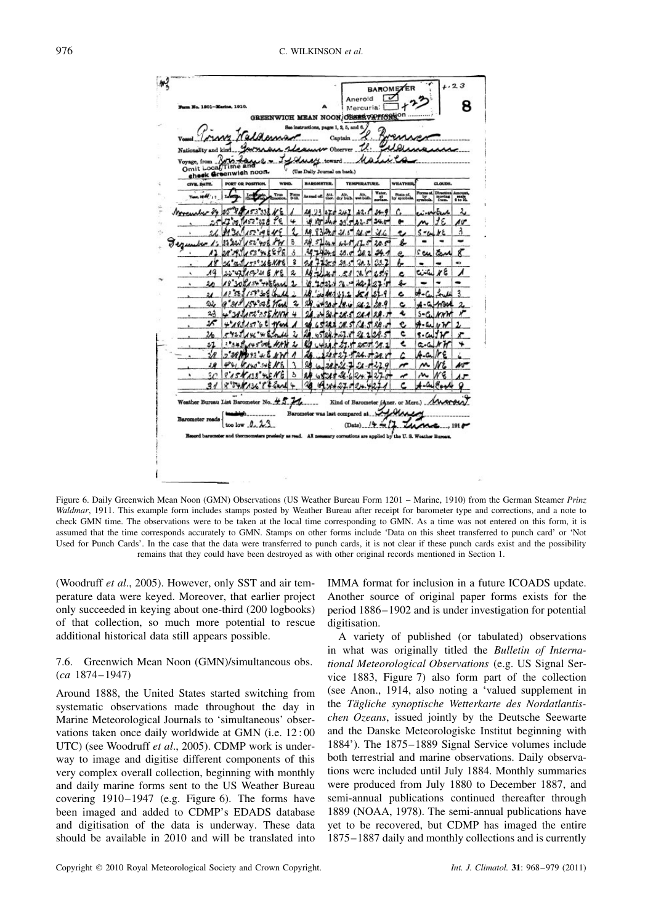

Figure 6. Daily Greenwich Mean Noon (GMN) Observations (US Weather Bureau Form 1201 – Marine, 1910) from the German Steamer *Prinz Waldmar*, 1911. This example form includes stamps posted by Weather Bureau after receipt for barometer type and corrections, and a note to check GMN time. The observations were to be taken at the local time corresponding to GMN. As a time was not entered on this form, it is assumed that the time corresponds accurately to GMN. Stamps on other forms include 'Data on this sheet transferred to punch card' or 'Not Used for Punch Cards'. In the case that the data were transferred to punch cards, it is not clear if these punch cards exist and the possibility remains that they could have been destroyed as with other original records mentioned in Section 1.

(Woodruff *et al*., 2005). However, only SST and air temperature data were keyed. Moreover, that earlier project only succeeded in keying about one-third (200 logbooks) of that collection, so much more potential to rescue additional historical data still appears possible.

## 7.6. Greenwich Mean Noon (GMN)/simultaneous obs. (*ca* 1874–1947)

Around 1888, the United States started switching from systematic observations made throughout the day in Marine Meteorological Journals to 'simultaneous' observations taken once daily worldwide at GMN (i.e. 12 : 00 UTC) (see Woodruff *et al*., 2005). CDMP work is underway to image and digitise different components of this very complex overall collection, beginning with monthly and daily marine forms sent to the US Weather Bureau covering 1910–1947 (e.g. Figure 6). The forms have been imaged and added to CDMP's EDADS database and digitisation of the data is underway. These data should be available in 2010 and will be translated into IMMA format for inclusion in a future ICOADS update. Another source of original paper forms exists for the period 1886–1902 and is under investigation for potential digitisation.

A variety of published (or tabulated) observations in what was originally titled the *Bulletin of International Meteorological Observations* (e.g. US Signal Service 1883, Figure 7) also form part of the collection (see Anon., 1914, also noting a 'valued supplement in the Tägliche synoptische Wetterkarte des Nordatlantis*chen Ozeans*, issued jointly by the Deutsche Seewarte and the Danske Meteorologiske Institut beginning with 1884'). The 1875–1889 Signal Service volumes include both terrestrial and marine observations. Daily observations were included until July 1884. Monthly summaries were produced from July 1880 to December 1887, and semi-annual publications continued thereafter through 1889 (NOAA, 1978). The semi-annual publications have yet to be recovered, but CDMP has imaged the entire 1875–1887 daily and monthly collections and is currently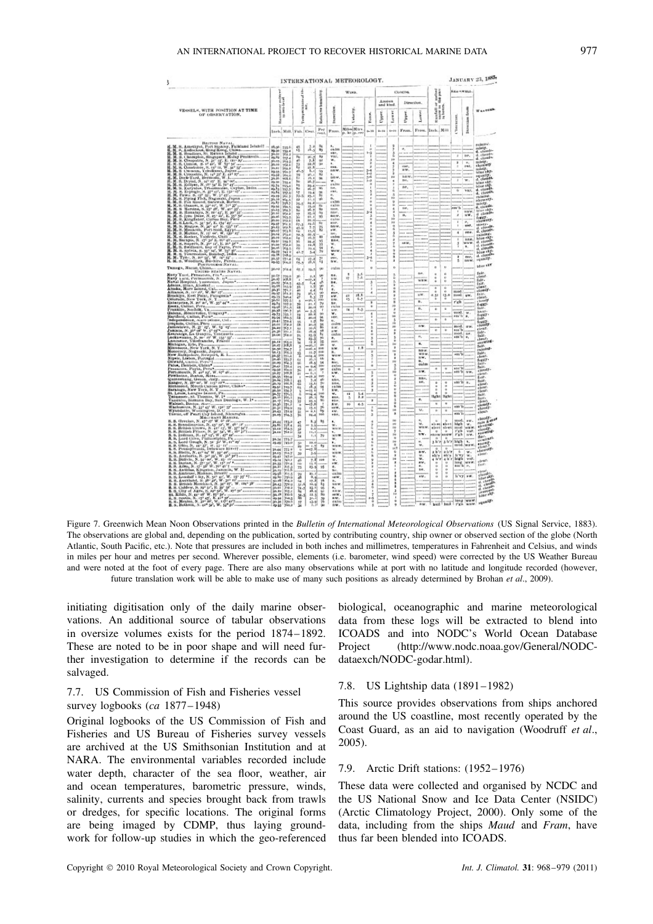

Figure 7. Greenwich Mean Noon Observations printed in the *Bulletin of International Meteorological Observations* (US Signal Service, 1883). The observations are global and, depending on the publication, sorted by contributing country, ship owner or observed section of the globe (North Atlantic, South Pacific, etc.). Note that pressures are included in both inches and millimetres, temperatures in Fahrenheit and Celsius, and winds in miles per hour and metres per second. Wherever possible, elements (i.e. barometer, wind speed) were corrected by the US Weather Bureau and were noted at the foot of every page. There are also many observations while at port with no latitude and longitude recorded (however, future translation work will be able to make use of many such positions as already determined by Brohan *et al*., 2009).

initiating digitisation only of the daily marine observations. An additional source of tabular observations in oversize volumes exists for the period 1874–1892. These are noted to be in poor shape and will need further investigation to determine if the records can be salvaged.

## 7.7. US Commission of Fish and Fisheries vessel survey logbooks (*ca* 1877–1948)

Original logbooks of the US Commission of Fish and Fisheries and US Bureau of Fisheries survey vessels are archived at the US Smithsonian Institution and at NARA. The environmental variables recorded include water depth, character of the sea floor, weather, air and ocean temperatures, barometric pressure, winds, salinity, currents and species brought back from trawls or dredges, for specific locations. The original forms are being imaged by CDMP, thus laying groundwork for follow-up studies in which the geo-referenced biological, oceanographic and marine meteorological data from these logs will be extracted to blend into ICOADS and into NODC's World Ocean Database Project (http://www.nodc.noaa.gov/General/NODCdataexch/NODC-godar.html).

#### 7.8. US Lightship data (1891–1982)

This source provides observations from ships anchored around the US coastline, most recently operated by the Coast Guard, as an aid to navigation (Woodruff *et al*., 2005).

#### 7.9. Arctic Drift stations: (1952–1976)

These data were collected and organised by NCDC and the US National Snow and Ice Data Center (NSIDC) (Arctic Climatology Project, 2000). Only some of the data, including from the ships *Maud* and *Fram*, have thus far been blended into ICOADS.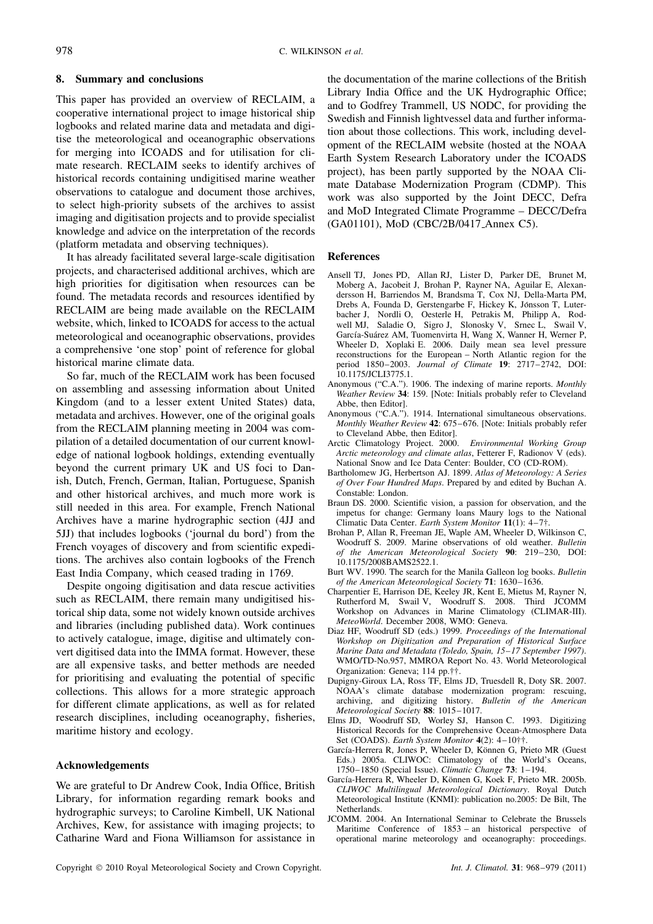#### **8. Summary and conclusions**

This paper has provided an overview of RECLAIM, a cooperative international project to image historical ship logbooks and related marine data and metadata and digitise the meteorological and oceanographic observations for merging into ICOADS and for utilisation for climate research. RECLAIM seeks to identify archives of historical records containing undigitised marine weather observations to catalogue and document those archives, to select high-priority subsets of the archives to assist imaging and digitisation projects and to provide specialist knowledge and advice on the interpretation of the records (platform metadata and observing techniques).

It has already facilitated several large-scale digitisation projects, and characterised additional archives, which are high priorities for digitisation when resources can be found. The metadata records and resources identified by RECLAIM are being made available on the RECLAIM website, which, linked to ICOADS for access to the actual meteorological and oceanographic observations, provides a comprehensive 'one stop' point of reference for global historical marine climate data.

So far, much of the RECLAIM work has been focused on assembling and assessing information about United Kingdom (and to a lesser extent United States) data, metadata and archives. However, one of the original goals from the RECLAIM planning meeting in 2004 was compilation of a detailed documentation of our current knowledge of national logbook holdings, extending eventually beyond the current primary UK and US foci to Danish, Dutch, French, German, Italian, Portuguese, Spanish and other historical archives, and much more work is still needed in this area. For example, French National Archives have a marine hydrographic section (4JJ and 5JJ) that includes logbooks ('journal du bord') from the French voyages of discovery and from scientific expeditions. The archives also contain logbooks of the French East India Company, which ceased trading in 1769.

Despite ongoing digitisation and data rescue activities such as RECLAIM, there remain many undigitised historical ship data, some not widely known outside archives and libraries (including published data). Work continues to actively catalogue, image, digitise and ultimately convert digitised data into the IMMA format. However, these are all expensive tasks, and better methods are needed for prioritising and evaluating the potential of specific collections. This allows for a more strategic approach for different climate applications, as well as for related research disciplines, including oceanography, fisheries, maritime history and ecology.

## **Acknowledgements**

We are grateful to Dr Andrew Cook, India Office, British Library, for information regarding remark books and hydrographic surveys; to Caroline Kimbell, UK National Archives, Kew, for assistance with imaging projects; to Catharine Ward and Fiona Williamson for assistance in

the documentation of the marine collections of the British Library India Office and the UK Hydrographic Office; and to Godfrey Trammell, US NODC, for providing the Swedish and Finnish lightvessel data and further information about those collections. This work, including development of the RECLAIM website (hosted at the NOAA Earth System Research Laboratory under the ICOADS project), has been partly supported by the NOAA Climate Database Modernization Program (CDMP). This work was also supported by the Joint DECC, Defra and MoD Integrated Climate Programme – DECC/Defra (GA01101), MoD (CBC/2B/0417 Annex C5).

#### **References**

- Ansell TJ, Jones PD, Allan RJ, Lister D, Parker DE, Brunet M, Moberg A, Jacobeit J, Brohan P, Rayner NA, Aguilar E, Alexandersson H, Barriendos M, Brandsma T, Cox NJ, Della-Marta PM, Drebs A, Founda D, Gerstengarbe F, Hickey K, Jónsson T, Luterbacher J, Nordli O, Oesterle H, Petrakis M, Philipp A, Rodwell MJ, Saladie O, Sigro J, Slonosky V, Srnec L, Swail V, García-Suárez AM, Tuomenvirta H, Wang X, Wanner H, Werner P, Wheeler D, Xoplaki E. 2006. Daily mean sea level pressure reconstructions for the European – North Atlantic region for the period 1850–2003. *Journal of Climate* **19**: 2717–2742, DOI: 10.1175/JCLI3775.1.
- Anonymous ("C.A."). 1906. The indexing of marine reports. *Monthly Weather Review* **34**: 159. [Note: Initials probably refer to Cleveland Abbe, then Editor].
- Anonymous ("C.A."). 1914. International simultaneous observations. *Monthly Weather Review* **42**: 675–676. [Note: Initials probably refer to Cleveland Abbe, then Editor].
- Arctic Climatology Project. 2000. *Environmental Working Group Arctic meteorology and climate atlas*, Fetterer F, Radionov V (eds). National Snow and Ice Data Center: Boulder, CO (CD-ROM).
- Bartholomew JG, Herbertson AJ. 1899. *Atlas of Meteorology: A Series of Over Four Hundred Maps*. Prepared by and edited by Buchan A. Constable: London.
- Braun DS. 2000. Scientific vision, a passion for observation, and the impetus for change: Germany loans Maury logs to the National Climatic Data Center. *Earth System Monitor* **11**(1): 4–7†.
- Brohan P, Allan R, Freeman JE, Waple AM, Wheeler D, Wilkinson C, Woodruff S. 2009. Marine observations of old weather. *Bulletin of the American Meteorological Society* **90**: 219–230, DOI: 10.1175/2008BAMS2522.1.
- Burt WV. 1990. The search for the Manila Galleon log books. *Bulletin of the American Meteorological Society* **71**: 1630–1636.
- Charpentier E, Harrison DE, Keeley JR, Kent E, Mietus M, Rayner N, Rutherford M, Swail V, Woodruff S. 2008. Third JCOMM Workshop on Advances in Marine Climatology (CLIMAR-III). *MeteoWorld*. December 2008, WMO: Geneva.
- Diaz HF, Woodruff SD (eds.) 1999. *Proceedings of the International Workshop on Digitization and Preparation of Historical Surface Marine Data and Metadata (Toledo, Spain, 15–17 September 1997)*. WMO/TD-No.957, MMROA Report No. 43. World Meteorological Organization: Geneva; 114 pp.††.
- Dupigny-Giroux LA, Ross TF, Elms JD, Truesdell R, Doty SR. 2007. NOAA's climate database modernization program: rescuing, archiving, and digitizing history. *Bulletin of the American Meteorological Society* **88**: 1015–1017.
- Elms JD, Woodruff SD, Worley SJ, Hanson C. 1993. Digitizing Historical Records for the Comprehensive Ocean-Atmosphere Data Set (COADS). *Earth System Monitor* **4**(2): 4–10††.
- García-Herrera R, Jones P, Wheeler D, Können G, Prieto MR (Guest Eds.) 2005a. CLIWOC: Climatology of the World's Oceans, 1750–1850 (Special Issue). *Climatic Change* **73**: 1–194.
- García-Herrera R, Wheeler D, Können G, Koek F, Prieto MR, 2005b. *CLIWOC Multilingual Meteorological Dictionary*. Royal Dutch Meteorological Institute (KNMI): publication no.2005: De Bilt, The Netherlands.
- JCOMM. 2004. An International Seminar to Celebrate the Brussels Maritime Conference of 1853 – an historical perspective of operational marine meteorology and oceanography: proceedings.